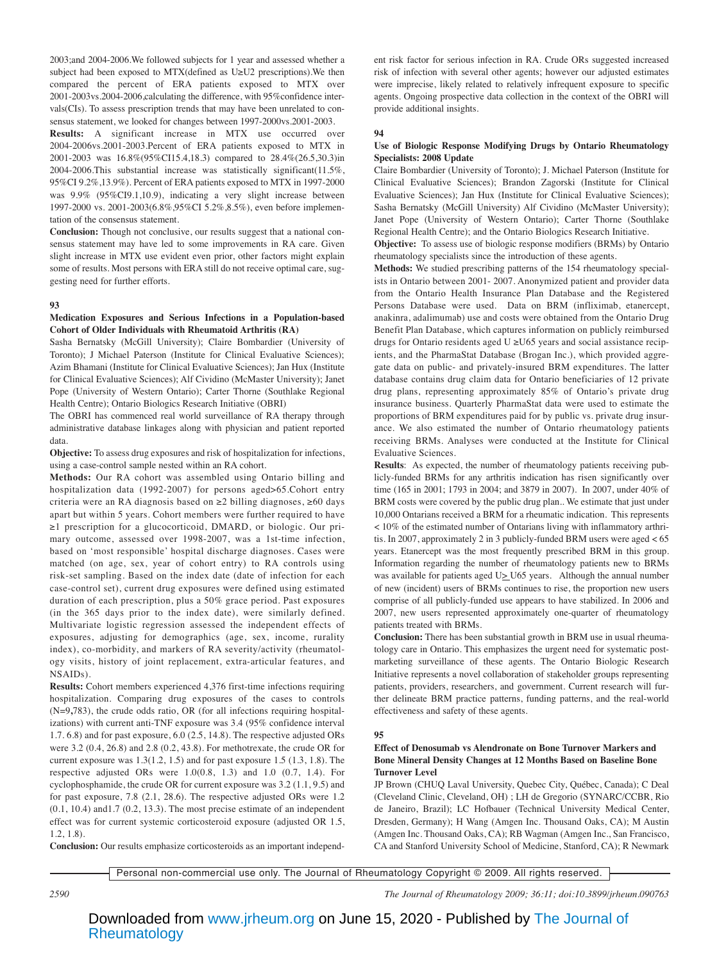2003;and 2004-2006.We followed subjects for 1 year and assessed whether a subject had been exposed to MTX(defined as U≥U2 prescriptions).We then compared the percent of ERA patients exposed to MTX over 2001-2003vs.2004-2006,calculating the difference, with 95%confidence intervals(CIs). To assess prescription trends that may have been unrelated to consensus statement, we looked for changes between 1997-2000vs.2001-2003.

**Results:** A significant increase in MTX use occurred over 2004-2006vs.2001-2003.Percent of ERA patients exposed to MTX in 2001-2003 was 16.8%(95%CI15.4,18.3) compared to 28.4%(26.5,30.3)in 2004-2006.This substantial increase was statistically significant(11.5%, 95%CI 9.2%,13.9%). Percent of ERA patients exposed to MTX in 1997-2000 was 9.9% (95%CI9.1,10.9), indicating a very slight increase between 1997-2000 vs. 2001-2003(6.8%,95%CI 5.2%,8.5%), even before implementation of the consensus statement.

**Conclusion:** Though not conclusive, our results suggest that a national consensus statement may have led to some improvements in RA care. Given slight increase in MTX use evident even prior, other factors might explain some of results. Most persons with ERA still do not receive optimal care, suggesting need for further efforts.

#### **93**

## **Medication Exposures and Serious Infections in a Population-based Cohort of Older Individuals with Rheumatoid Arthritis (RA)**

Sasha Bernatsky (McGill University); Claire Bombardier (University of Toronto); J Michael Paterson (Institute for Clinical Evaluative Sciences); Azim Bhamani (Institute for Clinical Evaluative Sciences); Jan Hux (Institute for Clinical Evaluative Sciences); Alf Cividino (McMaster University); Janet Pope (University of Western Ontario); Carter Thorne (Southlake Regional Health Centre); Ontario Biologics Research Initiative (OBRI)

The OBRI has commenced real world surveillance of RA therapy through administrative database linkages along with physician and patient reported data.

**Objective:** To assess drug exposures and risk of hospitalization for infections, using a case-control sample nested within an RA cohort.

**Methods:** Our RA cohort was assembled using Ontario billing and hospitalization data (1992-2007) for persons aged>65.Cohort entry criteria were an RA diagnosis based on ≥2 billing diagnoses, ≥60 days apart but within 5 years. Cohort members were further required to have ≥1 prescription for a glucocorticoid, DMARD, or biologic. Our primary outcome, assessed over 1998-2007, was a 1st-time infection, based on 'most responsible' hospital discharge diagnoses. Cases were matched (on age, sex, year of cohort entry) to RA controls using risk-set sampling. Based on the index date (date of infection for each case-control set), current drug exposures were defined using estimated duration of each prescription, plus a 50% grace period. Past exposures (in the 365 days prior to the index date), were similarly defined. Multivariate logistic regression assessed the independent effects of exposures, adjusting for demographics (age, sex, income, rurality index), co-morbidity, and markers of RA severity/activity (rheumatology visits, history of joint replacement, extra-articular features, and NSAIDs).

**Results:** Cohort members experienced 4,376 first-time infections requiring hospitalization. Comparing drug exposures of the cases to controls (N=9**,**783), the crude odds ratio, OR (for all infections requiring hospitalizations) with current anti-TNF exposure was 3.4 (95% confidence interval 1.7. 6.8) and for past exposure, 6.0 (2.5, 14.8). The respective adjusted ORs were 3.2 (0.4, 26.8) and 2.8 (0.2, 43.8). For methotrexate, the crude OR for current exposure was  $1.3(1.2, 1.5)$  and for past exposure  $1.5(1.3, 1.8)$ . The respective adjusted ORs were 1.0(0.8, 1.3) and 1.0 (0.7, 1.4). For cyclophosphamide, the crude OR for current exposure was 3.2 (1.1, 9.5) and for past exposure, 7.8 (2.1, 28.6). The respective adjusted ORs were 1.2 (0.1, 10.4) and1.7 (0.2, 13.3). The most precise estimate of an independent effect was for current systemic corticosteroid exposure (adjusted OR 1.5, 1.2, 1.8).

ent risk factor for serious infection in RA. Crude ORs suggested increased risk of infection with several other agents; however our adjusted estimates were imprecise, likely related to relatively infrequent exposure to specific agents. Ongoing prospective data collection in the context of the OBRI will provide additional insights.

#### **94**

# **Use of Biologic Response Modifying Drugs by Ontario Rheumatology Specialists: 2008 Update**

Claire Bombardier (University of Toronto); J. Michael Paterson (Institute for Clinical Evaluative Sciences); Brandon Zagorski (Institute for Clinical Evaluative Sciences); Jan Hux (Institute for Clinical Evaluative Sciences); Sasha Bernatsky (McGill University) Alf Cividino (McMaster University); Janet Pope (University of Western Ontario); Carter Thorne (Southlake Regional Health Centre); and the Ontario Biologics Research Initiative.

**Objective:** To assess use of biologic response modifiers (BRMs) by Ontario rheumatology specialists since the introduction of these agents.

**Methods:** We studied prescribing patterns of the 154 rheumatology specialists in Ontario between 2001- 2007. Anonymized patient and provider data from the Ontario Health Insurance Plan Database and the Registered Persons Database were used. Data on BRM (infliximab, etanercept, anakinra, adalimumab) use and costs were obtained from the Ontario Drug Benefit Plan Database, which captures information on publicly reimbursed drugs for Ontario residents aged U ≥U65 years and social assistance recipients, and the PharmaStat Database (Brogan Inc.), which provided aggregate data on public- and privately-insured BRM expenditures. The latter database contains drug claim data for Ontario beneficiaries of 12 private drug plans, representing approximately 85% of Ontario's private drug insurance business. Quarterly PharmaStat data were used to estimate the proportions of BRM expenditures paid for by public vs. private drug insurance. We also estimated the number of Ontario rheumatology patients receiving BRMs. Analyses were conducted at the Institute for Clinical Evaluative Sciences.

**Results**: As expected, the number of rheumatology patients receiving publicly-funded BRMs for any arthritis indication has risen significantly over time (165 in 2001; 1793 in 2004; and 3879 in 2007). In 2007, under 40% of BRM costs were covered by the public drug plan.. We estimate that just under 10,000 Ontarians received a BRM for a rheumatic indication. This represents < 10% of the estimated number of Ontarians living with inflammatory arthritis. In 2007, approximately 2 in 3 publicly-funded BRM users were aged  $< 65$ years. Etanercept was the most frequently prescribed BRM in this group. Information regarding the number of rheumatology patients new to BRMs was available for patients aged  $U \geq U65$  years. Although the annual number of new (incident) users of BRMs continues to rise, the proportion new users comprise of all publicly-funded use appears to have stabilized. In 2006 and 2007, new users represented approximately one-quarter of rheumatology patients treated with BRMs.

**Conclusion:** There has been substantial growth in BRM use in usual rheumatology care in Ontario. This emphasizes the urgent need for systematic postmarketing surveillance of these agents. The Ontario Biologic Research Initiative represents a novel collaboration of stakeholder groups representing patients, providers, researchers, and government. Current research will further delineate BRM practice patterns, funding patterns, and the real-world effectiveness and safety of these agents.

# **95**

## **Effect of Denosumab vs Alendronate on Bone Turnover Markers and Bone Mineral Density Changes at 12 Months Based on Baseline Bone Turnover Level**

JP Brown (CHUQ Laval University, Quebec City, Québec, Canada); C Deal (Cleveland Clinic, Cleveland, OH) ; LH de Gregorio (SYNARC/CCBR, Rio de Janeiro, Brazil); LC Hofbauer (Technical University Medical Center, Dresden, Germany); H Wang (Amgen Inc. Thousand Oaks, CA); M Austin (Amgen Inc. Thousand Oaks, CA); RB Wagman (Amgen Inc., San Francisco, CA and Stanford University School of Medicine, Stanford, CA); R Newmark

**Conclusion:** Our results emphasize corticosteroids as an important independ-

Personal non-commercial use only. The Journal of Rheumatology Copyright © 2009. All rights reserved.

*2590 The Journal of Rheumatology 2009; 36:11; doi:10.3899/jrheum.090763*

[Rheumatology](http://www.jrheum.org/) Downloaded from [www.jrheum.org](http://www.jrheum.org/) on June 15, 2020 - Published by [The Journal of](http://www.jrheum.org/)